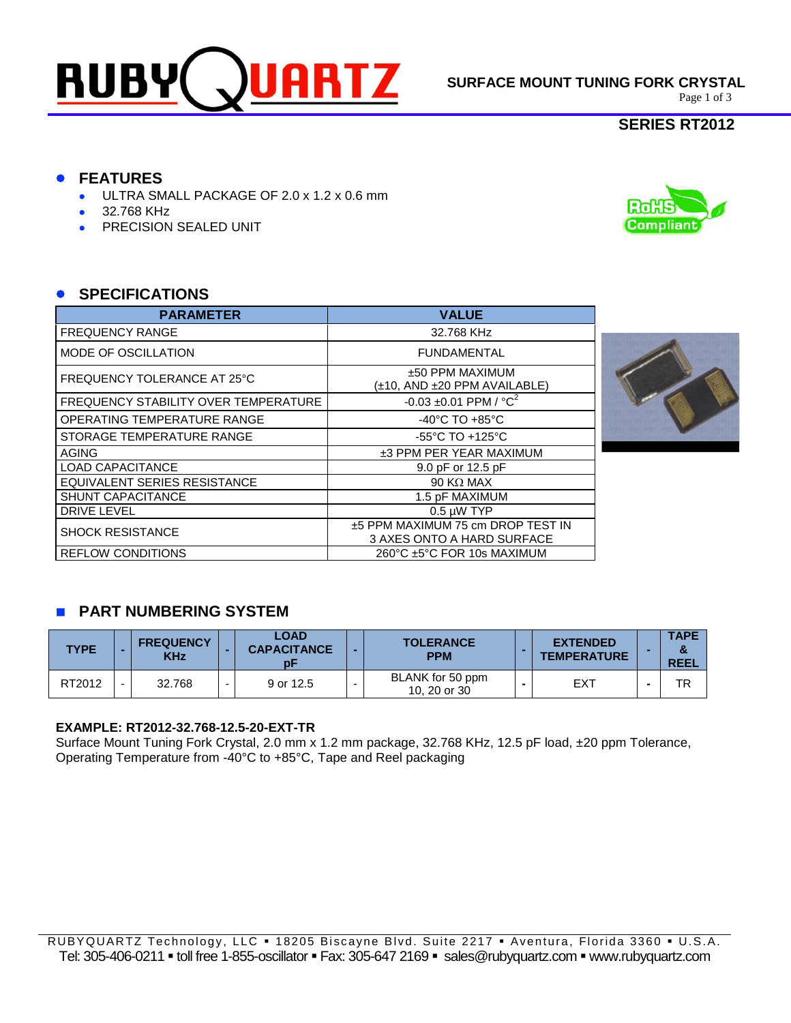

**SURFACE MOUNT TUNING FORK CRYSTAL**<br>Page 1 of 3

## **SERIES RT2012**

**Compliant** 

# **FEATURES**

- ULTRA SMALL PACKAGE OF 2.0 x 1.2 x 0.6 mm
- 32.768 KHz
- PRECISION SEALED UNIT

## **SPECIFICATIONS**

| <b>PARAMETER</b>                     | <b>VALUE</b>                                                    |
|--------------------------------------|-----------------------------------------------------------------|
| <b>FREQUENCY RANGE</b>               | 32.768 KHz                                                      |
| MODE OF OSCILLATION                  | <b>FUNDAMENTAL</b>                                              |
| FREQUENCY TOLERANCE AT 25°C          | ±50 PPM MAXIMUM<br>(±10, AND ±20 PPM AVAILABLE)                 |
| FREQUENCY STABILITY OVER TEMPERATURE | $-0.03 \pm 0.01$ PPM / $^{\circ}$ C <sup>2</sup>                |
| <b>OPERATING TEMPERATURE RANGE</b>   | $-40^{\circ}$ C TO $+85^{\circ}$ C                              |
| STORAGE TEMPERATURE RANGE            | $-55^{\circ}$ C TO $+125^{\circ}$ C                             |
| <b>AGING</b>                         | ±3 PPM PER YEAR MAXIMUM                                         |
| <b>LOAD CAPACITANCE</b>              | 9.0 pF or 12.5 pF                                               |
| EQUIVALENT SERIES RESISTANCE         | $90$ K $\Omega$ MAX                                             |
| <b>SHUNT CAPACITANCE</b>             | 1.5 pF MAXIMUM                                                  |
| DRIVE LEVEL                          | $0.5 \mu W$ TYP                                                 |
| <b>SHOCK RESISTANCE</b>              | ±5 PPM MAXIMUM 75 cm DROP TEST IN<br>3 AXES ONTO A HARD SURFACE |
| <b>REFLOW CONDITIONS</b>             | 260°C ±5°C FOR 10s MAXIMUM                                      |



# **PART NUMBERING SYSTEM**

| <b>TYPE</b> |        | <b>FREQUENCY</b><br><b>KHz</b> | LOAD<br><b>CAPACITANCE</b> | <b>TOLERANCE</b><br><b>PPM</b>   | <b>EXTENDED</b><br><b>TEMPERATURE</b> | <b>TAPE</b><br><b>REEL</b> |
|-------------|--------|--------------------------------|----------------------------|----------------------------------|---------------------------------------|----------------------------|
| RT2012      | $\sim$ | 32.768                         | 9 or 12.5                  | BLANK for 50 ppm<br>10, 20 or 30 | EXT                                   | TR                         |

#### **EXAMPLE: RT2012-32.768-12.5-20-EXT-TR**

Surface Mount Tuning Fork Crystal, 2.0 mm x 1.2 mm package, 32.768 KHz, 12.5 pF load, ±20 ppm Tolerance, Operating Temperature from -40°C to +85°C, Tape and Reel packaging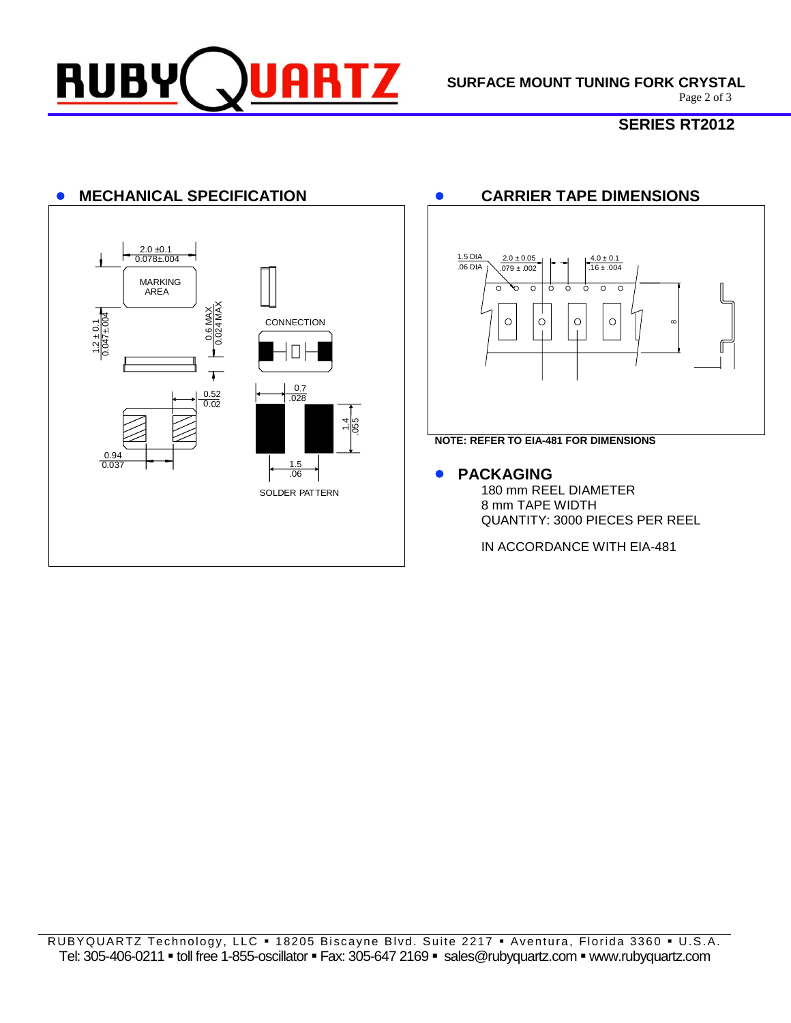

**SURFACE MOUNT TUNING FORK CRYSTAL**<br>Page 2 of 3

# **SERIES RT2012**



RUBYQUARTZ Technology, LLC . 18205 Biscayne Blvd. Suite 2217 . Aventura, Florida 3360 . U.S.A. Tel: 305-406-0211 · toll free 1-855-oscillator · Fax: 305-647 2169 · sales@rubyquartz.com · www.rubyquartz.com